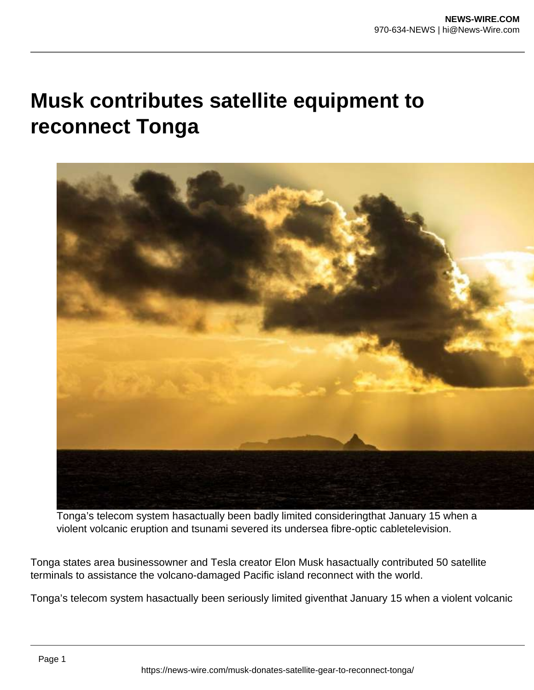## **Musk contributes satellite equipment to reconnect Tonga**



Tonga's telecom system hasactually been badly limited consideringthat January 15 when a violent volcanic eruption and tsunami severed its undersea fibre-optic cabletelevision.

Tonga states area businessowner and Tesla creator Elon Musk hasactually contributed 50 satellite terminals to assistance the volcano-damaged Pacific island reconnect with the world.

Tonga's telecom system hasactually been seriously limited giventhat January 15 when a violent volcanic